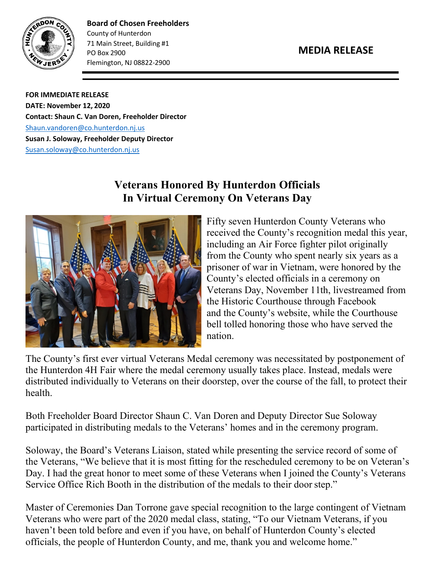



**Board of Chosen Freeholders** County of Hunterdon 71 Main Street, Building #1 PO Box 2900 Flemington, NJ 08822-2900

**FOR IMMEDIATE RELEASE DATE: November 12, 2020 Contact: Shaun C. Van Doren, Freeholder Director** [Shaun.vandoren@co.hunterdon.nj.us](mailto:Shaun.vandoren@co.hunterdon.nj.us) **Susan J. Soloway, Freeholder Deputy Director** [Susan.soloway@co.hunterdon.nj.us](mailto:Susan.soloway@co.hunterdon.nj.us)

## **Veterans Honored By Hunterdon Officials In Virtual Ceremony On Veterans Day**



Fifty seven Hunterdon County Veterans who received the County's recognition medal this year, including an Air Force fighter pilot originally from the County who spent nearly six years as a prisoner of war in Vietnam, were honored by the County's elected officials in a ceremony on Veterans Day, November 11th, livestreamed from the Historic Courthouse through Facebook and the County's website, while the Courthouse bell tolled honoring those who have served the nation.

The County's first ever virtual Veterans Medal ceremony was necessitated by postponement of the Hunterdon 4H Fair where the medal ceremony usually takes place. Instead, medals were distributed individually to Veterans on their doorstep, over the course of the fall, to protect their health.

Both Freeholder Board Director Shaun C. Van Doren and Deputy Director Sue Soloway participated in distributing medals to the Veterans' homes and in the ceremony program.

Soloway, the Board's Veterans Liaison, stated while presenting the service record of some of the Veterans, "We believe that it is most fitting for the rescheduled ceremony to be on Veteran's Day. I had the great honor to meet some of these Veterans when I joined the County's Veterans Service Office Rich Booth in the distribution of the medals to their door step."

Master of Ceremonies Dan Torrone gave special recognition to the large contingent of Vietnam Veterans who were part of the 2020 medal class, stating, "To our Vietnam Veterans, if you haven't been told before and even if you have, on behalf of Hunterdon County's elected officials, the people of Hunterdon County, and me, thank you and welcome home."